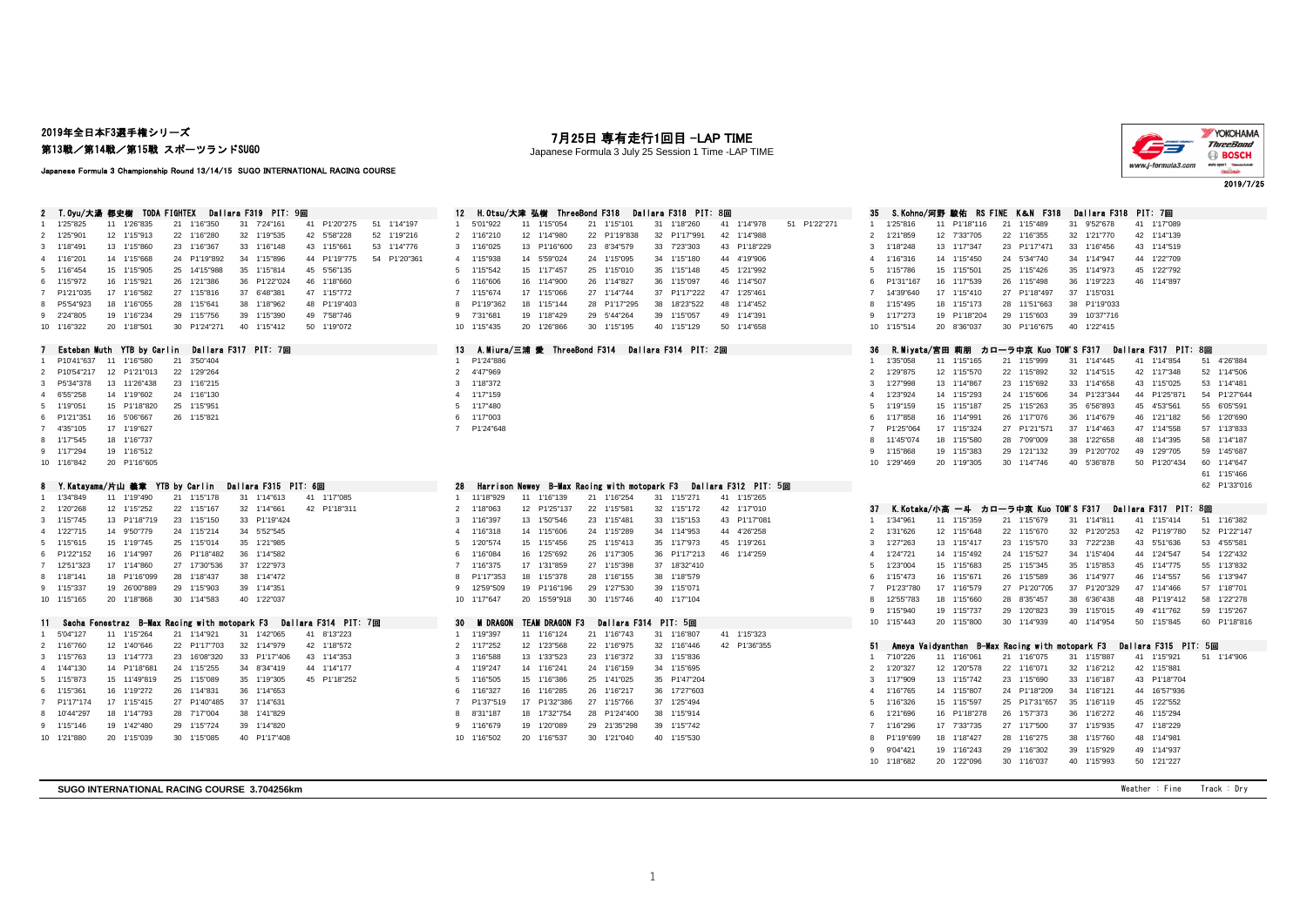## 2019年全日本F3選手権シリーズ 第13戦/第14戦/第15戦 スポーツランドSUGO

# 月25日 専有走行1回目 -LAP TIME

Japanese Formula 3 July 25 Session 1 Time -LAP TIME



#### Japanese Formula 3 Championship Round 13/14/15 SUGO INTERNATIONAL RACING COURSE

| 2 T.Oyu/大湯 都史樹 TODA FIGHTEX<br>Dallara F319 PIT: 9回                                                  | 12 H.Otsu/大津 弘樹 ThreeBond F318<br>Dallara F318 PIT: 8回                                  | S.Kohno/河野 駿佑 RS FINE K&N F318<br>Dallara F318 PIT: 7回<br>35                                             |
|------------------------------------------------------------------------------------------------------|-----------------------------------------------------------------------------------------|----------------------------------------------------------------------------------------------------------|
| 1'25"825<br>1'16"350<br>41 P1'20"275<br>51 1'14"197<br>11<br>1'26"835<br>21<br>31<br>7'24"161        | 21 1'15"101<br>31 1'18"260<br>51 P1'22"271<br>5'01"922<br>11 1'15"054<br>41 1'14"978    | 1'15"489<br>31<br>41 1'17"089<br>1'25"816<br>11 P1'18"116<br>21<br>9'52"678                              |
| 1'25"901<br>12 1'15"913<br>22 1'16"280<br>32 1'19"535<br>42 5'58"228<br>52 1'19"216<br>2             | 2 1'16"210<br>12 1'14"980<br>22 P1'19"838<br>32 P1'17"991<br>42 1'14"988                | 2<br>1'21"859<br>12 7'33"705<br>22 1'16"355<br>32 1'21"770<br>42 1'14"139                                |
| 13 1'15"860<br>23 1'16"367<br>33 1'16"148<br>43 1'15"661<br>53 1'14"776<br>1'18"491<br>$\mathcal{R}$ | 3 1'16"025<br>13 P1'16"600<br>23 8'34"579<br>33 7'23"303<br>43 P1'18"229                | 1'18"248<br>13 1'17"347<br>23 P1'17"471<br>33 1'16"456<br>43 1'14"519<br>3                               |
| 4 1'16"201<br>14 1'15"668<br>24 P1'19"892<br>34 1'15"896<br>44 P1'19"775<br>54 P1'20"361             | 14 5'59"024<br>34 1'15"180<br>44 4'19"906<br>4 1'15"938<br>24 1'15"095                  | 44 1'22"709<br>1'16"316<br>14 1'15"450<br>24 5'34"740<br>34 1'14"947<br>4                                |
| 1'16"454<br>15 1'15"905<br>25 14'15"988<br>35 1'15"814<br>45 5'56"135<br>5                           | 5 1'15"542<br>15 1'17"457<br>25 1'15"010<br>35 1'15"148<br>45 1'21"992                  | 15 1'15"501<br>25 1'15"426<br>35 1'14"973<br>45 1'22"792<br>1'15"786<br>5                                |
| 1'15"972<br>16 1'15"921<br>26 1'21"386<br>36 P1'22"024<br>46 1'18"660<br>6.                          | 16 1'14"900<br>46 1'14"507<br>1'16"606<br>26 1'14"827<br>36 1'15"097<br>6               | P1'31"167<br>16 1'17"539<br>26 1'15"498<br>36 1'19"223<br>46 1'14"897<br>-6                              |
| P1'21"035<br>17 1'16"582<br>27 1'15"816<br>37 6'48"381<br>47 1'15"772<br>$\overline{7}$              | 1'15"674<br>17 1'15"066<br>27 1'14"744<br>37 P1'17"222<br>47 1'25"461<br>$\overline{7}$ | 17 1'15"410<br>27 P1'18"497<br>37 1'15"031<br>$\overline{7}$<br>14'39"640                                |
| 48 P1'19"403<br>P5'54"923<br>18 1'16"055<br>28<br>1'15"641<br>38 1'18"962                            | 18 1'15"144<br>28 P1'17"295<br>38 18'23"522<br>48 1'14"452<br>P1'19"362<br>8            | 38 P1'19"033<br>1'15"495<br>18 1'15"173<br>28 11'51"663<br>8                                             |
| 2'24"805<br>19 1'16"234<br>29<br>1'15"756<br>39 1'15"390<br>49 7'58"746<br>9                         | 19 1'18"429<br>29 5'44"264<br>39 1'15"057<br>49 1'14"391<br>-9<br>7'31"681              | 19 P1'18"204<br>29 1'15"603<br>39 10'37"716<br>9<br>1'17"273                                             |
| 20 1'18"501<br>30 P1'24"271<br>10 1'16"322<br>40 1'15"412<br>50 1'19"072                             | 30 1'15"195<br>40 1'15"129<br>50 1'14"658<br>10 1'15"435<br>20 1'26"866                 | 30 P1'16"675<br>40 1'22"415<br>10 1'15"514<br>20 8'36"037                                                |
|                                                                                                      |                                                                                         |                                                                                                          |
| Esteban Muth YTB by Carlin<br>Dallara F317 PIT: 7回                                                   | 13 A.Miura/三浦 愛 ThreeBond F314 Dallara F314 PIT: 2回                                     | 36<br><b>R.Mivata/宮田 莉朋 カローラ中京 Kuo TOM'S F317</b><br>Dallara F317 PIT: 8回                                |
| P10'41"637<br>11 1'16"580<br>21<br>3'50"404                                                          | 1 P1'24"886                                                                             | 1'35"058<br>11 1'15"165<br>21 1'15"999<br>31 1'14"445<br>41 1'14"854<br>51 4'26"884<br>$\overline{1}$    |
| 12 P1'21"013<br>22<br>1'29"264<br>P10'54"217                                                         | 2 4'47"969                                                                              | 1'29"875<br>12 1'15"570<br>32 1'14"515<br>42 1'17"348<br>52 1'14"506<br>2<br>22 1'15"892                 |
| 13 11'26"438<br>23 1'16"215<br>3<br>P5'34"378                                                        | 3 1'18"372                                                                              | 53 1'14"481<br>1'27"998<br>13 1'14"867<br>23 1'15"692<br>33 1'14"658<br>43 1'15"025<br>3                 |
| 6'55"258<br>14 1'19"602<br>24 1'16"130<br>$\overline{a}$                                             | 4 1'17"159                                                                              | 1'23"924<br>14 1'15"293<br>34 P1'23"344<br>44 P1'25"871<br>54 P1'27"644<br>24 1'15"606<br>4              |
| 1'19"051<br>15 P1'18"820<br>25 1'15"951<br>5                                                         | 5 1'17"480                                                                              | 15 1'15"187<br>1'19"159<br>25 1'15"263<br>35 6'56"893<br>45 4'53"561<br>55 6'05"591<br>-5                |
| P1'21"351<br>16 5'06"667<br>26 1'15"821<br>6                                                         | 1'17"003<br>6                                                                           | 1'17"858<br>16 1'14"991<br>26 1'17"076<br>36 1'14"679<br>46 1'21"182<br>56 1'20"690<br>-6                |
| 4'35"105<br>17 1'19"627<br>$\overline{7}$                                                            | 7 P1'24"648                                                                             | 17 1'15"324<br>27 P1'21"571<br>37 1'14"463<br>47 1'14"558<br>57 1'13"833<br>P1'25"064<br>$\overline{7}$  |
| 1'17"545<br>18 1'16"737                                                                              |                                                                                         | 11'45"074<br>18 1'15"580<br>28 7'09"009<br>38 1'22"658<br>48 1'14"395<br>58 1'14"187<br>8                |
| 19 1'16"512<br>9 1'17"294                                                                            |                                                                                         | 29 1'21"132<br>39 P1'20"702<br>49 1'29"705<br>59 1'45"687<br>9<br>1'15"868<br>19 1'15"383                |
| 20 P1'16"605<br>10 1'16"842                                                                          |                                                                                         | 10 1'29"469<br>20 1'19"305<br>30 1'14"746<br>40 5'36"878<br>50 P1'20"434<br>60 1'14"647                  |
|                                                                                                      |                                                                                         | 61 1'15"466                                                                                              |
| Y.Katayama/片山 義章 YTB by Carlin Dallara F315 PIT: 6回                                                  | 28<br>B-Max Racing with motopark F3<br>Dallara F312 PIT:5回<br>Harrison Newev            | 62 P1'33"016                                                                                             |
| 11 1'19"490<br>1'34"849<br>21<br>1'15"178<br>31 1'14"613<br>41 1'17"085                              | 31 1'15"271<br>1 11'18"929<br>11 1'16"139<br>21 1'16"254<br>41 1'15"265                 |                                                                                                          |
| 12 1'15"252<br>22 1'15"167<br>32 1'14"661<br>42 P1'18"311<br>1'20"268<br>$\overline{2}$              | 12 P1'25"137<br>42 1'17"010<br>2 1'18"063<br>22 1'15"581<br>32 1'15"172                 | K.Kotaka/小高 一斗 カローラ中京 Kuo TOM'S F317<br>Dallara F317 PIT: 8回<br>-37                                      |
| 13 P1'18"719<br>23<br>1'15"150<br>33 P1'19"424<br>1'15"745<br>3                                      | 13 1'50"546<br>23 1'15"481<br>33 1'15"153<br>43 P1'17"081<br>3                          | 11 1'15"359<br>31 1'14"811<br>41 1'15"414<br>51 1'16"382<br>1'34"961<br>$\overline{1}$                   |
| 4                                                                                                    | 1'16"397                                                                                | 21 1'15"679<br>52 P1'22"147                                                                              |
| 1'22"715<br>14 9'50"779<br>24 1'15"214<br>34 5'52"545                                                | 4 1'16"318<br>14 1'15"606<br>24 1'15"289<br>34 1'14"953<br>44 4'26"258                  | 1'31"626<br>12 1'15"648<br>22 1'15"670<br>32 P1'20"253<br>42 P1'19"780<br>2                              |
| 15 1'19"745<br>25 1'15"014<br>35 1'21"985<br>1'15"615<br>-5                                          | 1'20"574<br>15 1'15"456<br>25 1'15"413<br>35 1'17"973<br>45 1'19"261<br>-5              | 13 1'15"417<br>23 1'15"570<br>33 7'22"238<br>43 5'51"636<br>53 4'55"581<br>3<br>1'27"263                 |
| 6 P1'22"152<br>16 1'14"997<br>26 P1'18"482<br>36 1'14"582                                            | 1'16"084<br>16 1'25"692<br>26 1'17"305<br>36 P1'17"213<br>46 1'14"259<br>6              | 54 1'22"432<br>1'24"721<br>14 1'15"492<br>24 1'15"527<br>34 1'15"404<br>44 1'24"547<br>4                 |
| 17 1'14"860<br>27 17'30"536<br>37<br>1'22"973<br>12'51"323<br>$\overline{7}$                         | 17 1'31"859<br>27 1'15"398<br>37 18'32"410<br>$\overline{7}$<br>1'16"375                | 1'23"004<br>15 1'15"683<br>25 1'15"345<br>35 1'15"853<br>45 1'14"775<br>55 1'13"832<br>-5                |
| 1'18"141<br>18 P1'16"099<br>28 1'18"437<br>38 1'14"472<br>8.                                         | 38 1'18"579<br>P1'17"353<br>18 1'15"378<br>28 1'16"155<br>8                             | 56 1'13"947<br>1'15"473<br>16 1'15"671<br>26 1'15"589<br>36 1'14"977<br>46 1'14"557<br>-6                |
| 1'15"337<br>19 26'00"889<br>29 1'15"903<br>39 1'14"351<br>9                                          | 12'59"509<br>19 P1'16"196<br>29 1'27"530<br>39 1'15"071<br>9                            | 57 1'18"701<br>P1'23"780<br>17 1'16"579<br>27 P1'20"705<br>37 P1'20"329<br>47 1'14"466<br>$\overline{7}$ |
| 10 1'15"165<br>20 1'18"868<br>30 1'14"583<br>40 1'22"037                                             | 20 15'59"918<br>10 1'17"647<br>30 1'15"746<br>40 1'17"104                               | 58 1'22"278<br>12'55"783<br>18 1'15"660<br>28 8'35"457<br>38 6'36"438<br>48 P1'19"412<br>-8              |
|                                                                                                      |                                                                                         | 59 1'15"267<br>1'15"940<br>19 1'15"737<br>29 1'20"823<br>39 1'15"015<br>49 4'11"762<br>9                 |
| Sacha Fenestraz B-Max Racing with motopark F3<br>Dallara F314 PIT: 7回<br>11.                         | 30 M DRAGON TEAM DRAGON F3<br>Dallara F314 PIT: 5回                                      | 10 1'15"443<br>20 1'15"800<br>30 1'14"939<br>40 1'14"954<br>50 1'15"845<br>60 P1'18"816                  |
| 11 1'15"264<br>1'42"065<br>8'13"223<br>5'04"127<br>21<br>1'14"921<br>31<br>41                        | 1 1'19"397<br>11 1'16"124<br>21 1'16"743<br>31 1'16"807<br>41 1'15"323                  |                                                                                                          |
| 42 1'18"572<br>12 1'40"646<br>22 P1'17"703<br>32 1'14"979<br>1'16"760                                | 2 1'17"252<br>12 1'23"568<br>22 1'16"975<br>42 P1'36"355<br>32 1'16"446                 | Ameva Vaidvanthan<br>B-Max Racing with motopark F3<br>Dallara F315 PIT: 5回<br>51.                        |
| 13 1'14"773<br>23<br>16'08"320<br>33 P1'17"406<br>43<br>1'14"353<br>1'15"763<br>3                    | 1'16"588<br>13 1'33"523<br>23 1'16"372<br>33 1'15"836<br>3                              | 7'10"226<br>11 1'16"061<br>21 1'16"075<br>31 1'15"887<br>41 1'15"921<br>51 1'14"906<br>$\overline{1}$    |
| 1'44"130<br>14 P1'18"681<br>24<br>1'15"255<br>34 8'34"419<br>44 1'14"177<br>$\Delta$                 | 4 1'19"247<br>14 1'16"241<br>24 1'16"159<br>34 1'15"695                                 | 1'20"327<br>12 1'20"578<br>22 1'16"071<br>32 1'16"212<br>42 1'15"881<br>$\overline{2}$                   |
| 1'15"873<br>15 11'49"819<br>25<br>1'15"089<br>35 1'19"305<br>45 P1'18"252<br>5.                      | 15 1'16"386<br>25 1'41"025<br>1'16"505<br>35 P1'47"204<br>-5                            | 43 P1'18"704<br>1'17"909<br>13 1'15"742<br>23 1'15"690<br>33 1'16"187<br>3                               |
| 1'15"361<br>36 1'14"653<br>16 1'19"272<br>26<br>1'14"831                                             | 1'16"327<br>16 1'16"285<br>26 1'16"217<br>36 17'27"603<br>6                             | 14 1'15"807<br>44 16'57"936<br>1'16"765<br>24 P1'18"209<br>34 1'16"121<br>$\overline{4}$                 |
| 37 1'14"631<br>P1'17"174<br>17 1'15"415<br>27 P1'40"485                                              | 17 P1'32"386<br>P1'37"519<br>27 1'15"766<br>37 1'25"494<br>$\overline{7}$               | 15 1'15"597<br>45 1'22"552<br>1'16"326<br>25 P17'31"657<br>35 1'16"119<br>5                              |
| 10'44"297<br>18 1'14"793<br>28 7'17"004<br>38 1'41"829                                               | 18 17'32"754<br>28 P1'24"400<br>38 1'15"914<br>8'31"187<br>8                            | 1'21"696<br>16 P1'18"278<br>26 1'57"373<br>36 1'16"272<br>46 1'15"294<br>-6                              |
| 1'15"146<br>19<br>1'42"480<br>29 1'15"724<br>39 1'14"820<br>9                                        | 29 21'35"298<br>39 1'15"742<br>1'16"679<br>19 1'20"089<br>-9                            | 17 7'33"735<br>27 1'17"500<br>37 1'15"935<br>47 1'18"229<br>$\overline{7}$<br>1'16"296                   |
| 10 1'21"880<br>20 1'15"039<br>30 1'15"085<br>40 P1'17"408                                            | 30 1'21"040<br>10 1'16"502<br>20 1'16"537<br>40 1'15"530                                | 8 P1'19"699<br>18 1'18"427<br>28 1'16"275<br>38 1'15"760<br>48 1'14"981                                  |
|                                                                                                      |                                                                                         |                                                                                                          |
|                                                                                                      |                                                                                         | 29 1'16"302<br>39 1'15"929<br>49 1'14"937<br>9'04"421<br>19 1'16"243<br>-9                               |
|                                                                                                      |                                                                                         | 20 1'22"096<br>30 1'16"037<br>40 1'15"993<br>50 1'21"227<br>10 1'18"682                                  |

**SUGO INTERNATIONAL RACING COURSE 3.704256km** Weather : Fine Track : Dry